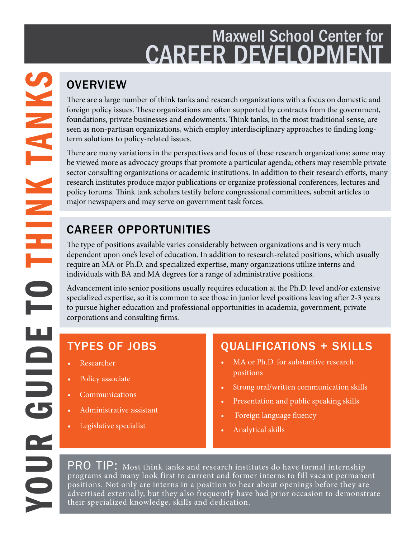## Maxwell School Center for **CAREER DEVELOPMEN**

There are a large number of think tanks and research organizations with a focus on domestic and foreign policy issues. These organizations are often supported by contracts from the government, foundations, private businesses and endowments. Think tanks, in the most traditional sense, are seen as non-partisan organizations, which employ interdisciplinary approaches to finding longterm solutions to policy-related issues.

There are many variations in the perspectives and focus of these research organizations: some may be viewed more as advocacy groups that promote a particular agenda; others may resemble private sector consulting organizations or academic institutions. In addition to their research efforts, many research institutes produce major publications or organize professional conferences, lectures and policy forums. Think tank scholars testify before congressional committees, submit articles to major newspapers and may serve on government task forces.

### CAREER OPPORTUNITIES

The type of positions available varies considerably between organizations and is very much dependent upon one's level of education. In addition to research-related positions, which usually require an MA or Ph.D. and specialized expertise, many organizations utilize interns and individuals with BA and MA degrees for a range of administrative positions.

Advancement into senior positions usually requires education at the Ph.D. level and/or extensive specialized expertise, so it is common to see those in junior level positions leaving after 2-3 years to pursue higher education and professional opportunities in academia, government, private corporations and consulting firms.

### TYPES OF JOBS

- Researcher
- Policy associate
- Communications
- Administrative assistant
- Legislative specialist

### QUALIFICATIONS + SKILLS

- MA or Ph.D. for substantive research positions
- Strong oral/written communication skills
- Presentation and public speaking skills
- Foreign language fluency
- Analytical skills

PRO TIP: Most think tanks and research institutes do have formal internship programs and many look first to current and former interns to fill vacant permanent positions. Not only are interns in a position to hear about openings before they are advertised externally, but they also frequently have had prior occasion to demonstrate their specialized knowledge, skills and dedication.